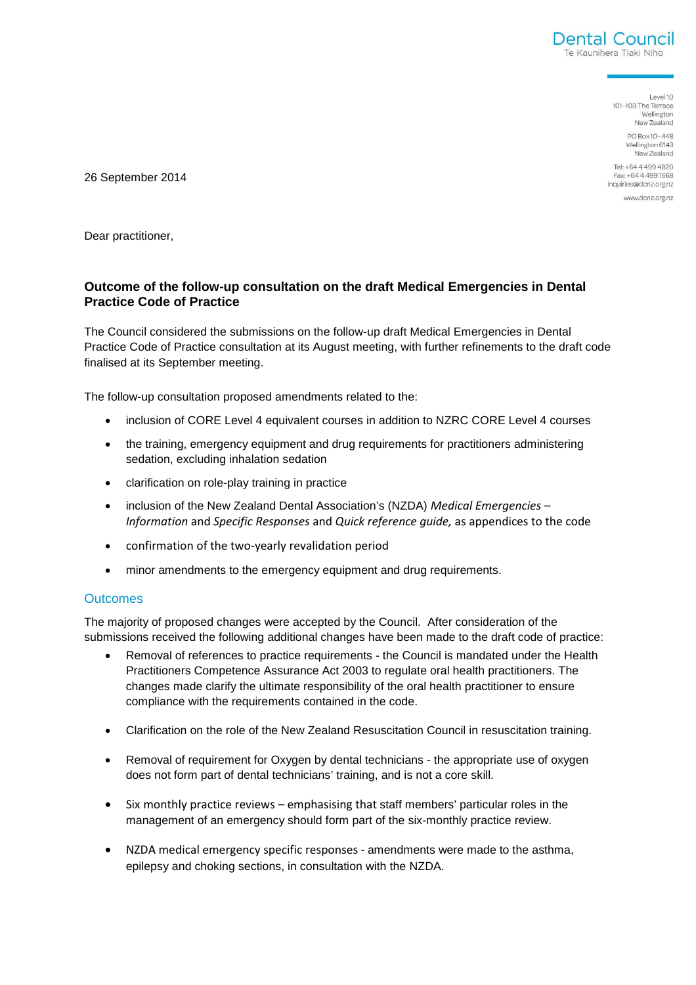

Level 10 101-103 The Terrace Wellington New Zealand PO Box 10-448 Wellington 6143 New Zealand

Tel: +64 4 499 4820 Fax: +64 4 499 1668 inquiries@dcnz.org.nz

www.dcnz.org.nz

26 September 2014

Dear practitioner,

## **Outcome of the follow-up consultation on the draft Medical Emergencies in Dental Practice Code of Practice**

The Council considered the submissions on the follow-up draft Medical Emergencies in Dental Practice Code of Practice consultation at its August meeting, with further refinements to the draft code finalised at its September meeting.

The follow-up consultation proposed amendments related to the:

- inclusion of CORE Level 4 equivalent courses in addition to NZRC CORE Level 4 courses
- the training, emergency equipment and drug requirements for practitioners administering sedation, excluding inhalation sedation
- clarification on role-play training in practice
- inclusion of the New Zealand Dental Association's (NZDA) Medical Emergencies Information and Specific Responses and Quick reference guide, as appendices to the code
- confirmation of the two-yearly revalidation period
- minor amendments to the emergency equipment and drug requirements.

## **Outcomes**

The majority of proposed changes were accepted by the Council. After consideration of the submissions received the following additional changes have been made to the draft code of practice:

- Removal of references to practice requirements the Council is mandated under the Health Practitioners Competence Assurance Act 2003 to regulate oral health practitioners. The changes made clarify the ultimate responsibility of the oral health practitioner to ensure compliance with the requirements contained in the code.
- Clarification on the role of the New Zealand Resuscitation Council in resuscitation training.
- Removal of requirement for Oxygen by dental technicians the appropriate use of oxygen does not form part of dental technicians' training, and is not a core skill.
- Six monthly practice reviews emphasising that staff members' particular roles in the management of an emergency should form part of the six-monthly practice review.
- NZDA medical emergency specific responses amendments were made to the asthma, epilepsy and choking sections, in consultation with the NZDA.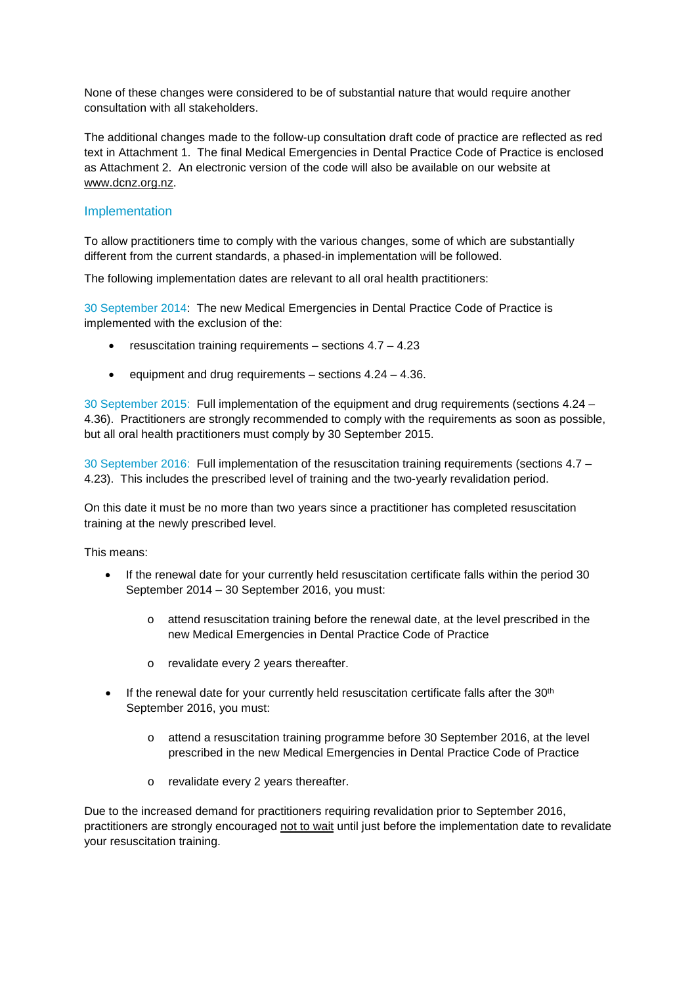None of these changes were considered to be of substantial nature that would require another consultation with all stakeholders.

The additional changes made to the follow-up consultation draft code of practice are reflected as red text in Attachment 1. The final Medical Emergencies in Dental Practice Code of Practice is enclosed as Attachment 2. An electronic version of the code will also be available on our website at www.dcnz.org.nz.

## Implementation

To allow practitioners time to comply with the various changes, some of which are substantially different from the current standards, a phased-in implementation will be followed.

The following implementation dates are relevant to all oral health practitioners:

30 September 2014: The new Medical Emergencies in Dental Practice Code of Practice is implemented with the exclusion of the:

- resuscitation training requirements  $-$  sections  $4.7 4.23$
- equipment and drug requirements sections 4.24 4.36.

30 September 2015: Full implementation of the equipment and drug requirements (sections 4.24 – 4.36). Practitioners are strongly recommended to comply with the requirements as soon as possible, but all oral health practitioners must comply by 30 September 2015.

30 September 2016: Full implementation of the resuscitation training requirements (sections 4.7 – 4.23). This includes the prescribed level of training and the two-yearly revalidation period.

On this date it must be no more than two years since a practitioner has completed resuscitation training at the newly prescribed level.

This means:

- If the renewal date for your currently held resuscitation certificate falls within the period 30 September 2014 – 30 September 2016, you must:
	- o attend resuscitation training before the renewal date, at the level prescribed in the new Medical Emergencies in Dental Practice Code of Practice
	- o revalidate every 2 years thereafter.
- If the renewal date for your currently held resuscitation certificate falls after the 30<sup>th</sup> September 2016, you must:
	- o attend a resuscitation training programme before 30 September 2016, at the level prescribed in the new Medical Emergencies in Dental Practice Code of Practice
	- o revalidate every 2 years thereafter.

Due to the increased demand for practitioners requiring revalidation prior to September 2016, practitioners are strongly encouraged not to wait until just before the implementation date to revalidate your resuscitation training.